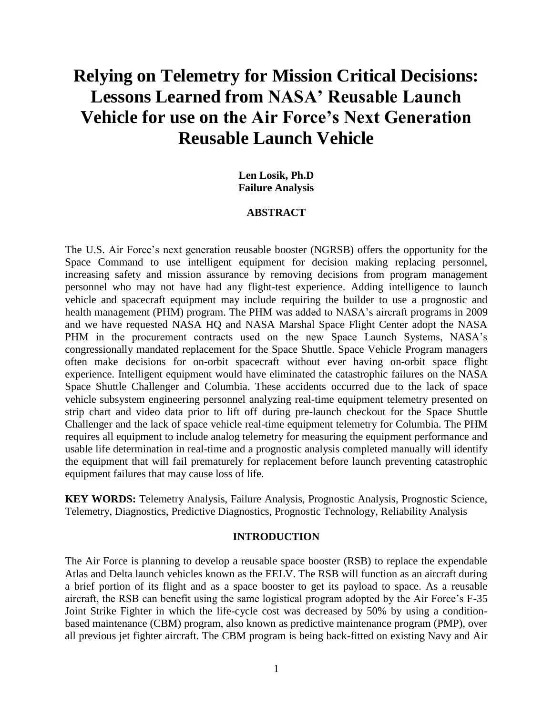# **Relying on Telemetry for Mission Critical Decisions: Lessons Learned from NASA' Reusable Launch Vehicle for use on the Air Force's Next Generation Reusable Launch Vehicle**

#### **Len Losik, Ph.D Failure Analysis**

#### **ABSTRACT**

The U.S. Air Force's next generation reusable booster (NGRSB) offers the opportunity for the Space Command to use intelligent equipment for decision making replacing personnel, increasing safety and mission assurance by removing decisions from program management personnel who may not have had any flight-test experience. Adding intelligence to launch vehicle and spacecraft equipment may include requiring the builder to use a prognostic and health management (PHM) program. The PHM was added to NASA's aircraft programs in 2009 and we have requested NASA HQ and NASA Marshal Space Flight Center adopt the NASA PHM in the procurement contracts used on the new Space Launch Systems, NASA's congressionally mandated replacement for the Space Shuttle. Space Vehicle Program managers often make decisions for on-orbit spacecraft without ever having on-orbit space flight experience. Intelligent equipment would have eliminated the catastrophic failures on the NASA Space Shuttle Challenger and Columbia. These accidents occurred due to the lack of space vehicle subsystem engineering personnel analyzing real-time equipment telemetry presented on strip chart and video data prior to lift off during pre-launch checkout for the Space Shuttle Challenger and the lack of space vehicle real-time equipment telemetry for Columbia. The PHM requires all equipment to include analog telemetry for measuring the equipment performance and usable life determination in real-time and a prognostic analysis completed manually will identify the equipment that will fail prematurely for replacement before launch preventing catastrophic equipment failures that may cause loss of life.

**KEY WORDS:** Telemetry Analysis, Failure Analysis, Prognostic Analysis, Prognostic Science, Telemetry, Diagnostics, Predictive Diagnostics, Prognostic Technology, Reliability Analysis

#### **INTRODUCTION**

The Air Force is planning to develop a reusable space booster (RSB) to replace the expendable Atlas and Delta launch vehicles known as the EELV. The RSB will function as an aircraft during a brief portion of its flight and as a space booster to get its payload to space. As a reusable aircraft, the RSB can benefit using the same logistical program adopted by the Air Force's F-35 Joint Strike Fighter in which the life-cycle cost was decreased by 50% by using a conditionbased maintenance (CBM) program, also known as predictive maintenance program (PMP), over all previous jet fighter aircraft. The CBM program is being back-fitted on existing Navy and Air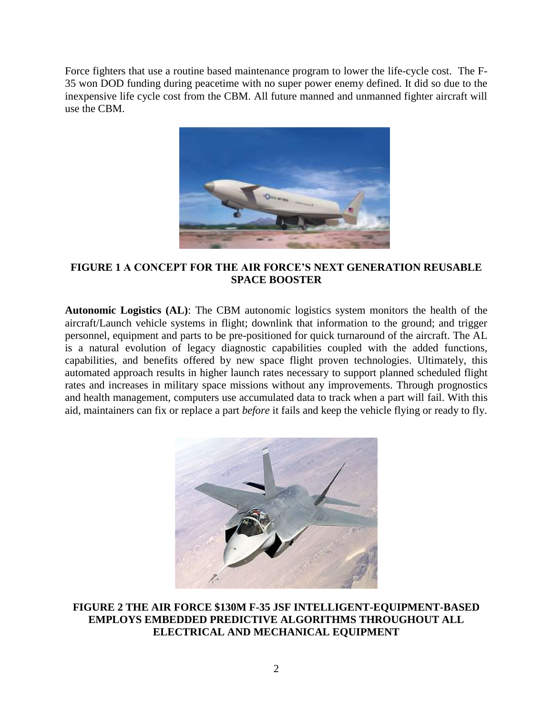Force fighters that use a routine based maintenance program to lower the life-cycle cost. The F-35 won DOD funding during peacetime with no super power enemy defined. It did so due to the inexpensive life cycle cost from the CBM. All future manned and unmanned fighter aircraft will use the CBM.



# **FIGURE 1 A CONCEPT FOR THE AIR FORCE'S NEXT GENERATION REUSABLE SPACE BOOSTER**

**Autonomic Logistics (AL)**: The CBM autonomic logistics system monitors the health of the aircraft/Launch vehicle systems in flight; downlink that information to the ground; and trigger personnel, equipment and parts to be pre-positioned for quick turnaround of the aircraft. The AL is a natural evolution of legacy diagnostic capabilities coupled with the added functions, capabilities, and benefits offered by new space flight proven technologies. Ultimately, this automated approach results in higher launch rates necessary to support planned scheduled flight rates and increases in military space missions without any improvements. Through prognostics and health management, computers use accumulated data to track when a part will fail. With this aid, maintainers can fix or replace a part *before* it fails and keep the vehicle flying or ready to fly.



**FIGURE 2 THE AIR FORCE \$130M F-35 JSF INTELLIGENT-EQUIPMENT-BASED EMPLOYS EMBEDDED PREDICTIVE ALGORITHMS THROUGHOUT ALL ELECTRICAL AND MECHANICAL EQUIPMENT**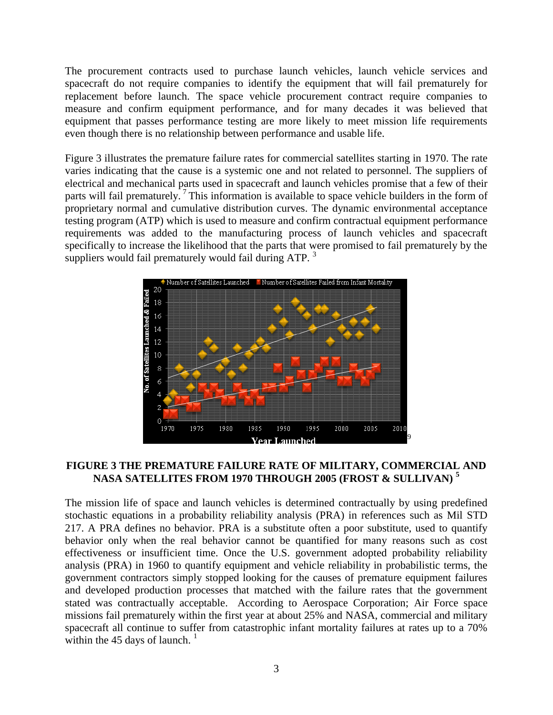The procurement contracts used to purchase launch vehicles, launch vehicle services and spacecraft do not require companies to identify the equipment that will fail prematurely for replacement before launch. The space vehicle procurement contract require companies to measure and confirm equipment performance, and for many decades it was believed that equipment that passes performance testing are more likely to meet mission life requirements even though there is no relationship between performance and usable life.

Figure 3 illustrates the premature failure rates for commercial satellites starting in 1970. The rate varies indicating that the cause is a systemic one and not related to personnel. The suppliers of electrical and mechanical parts used in spacecraft and launch vehicles promise that a few of their parts will fail prematurely.<sup>7</sup> This information is available to space vehicle builders in the form of proprietary normal and cumulative distribution curves. The dynamic environmental acceptance testing program (ATP) which is used to measure and confirm contractual equipment performance requirements was added to the manufacturing process of launch vehicles and spacecraft specifically to increase the likelihood that the parts that were promised to fail prematurely by the suppliers would fail prematurely would fail during ATP.<sup>3</sup>



# **FIGURE 3 THE PREMATURE FAILURE RATE OF MILITARY, COMMERCIAL AND NASA SATELLITES FROM 1970 THROUGH 2005 (FROST & SULLIVAN) <sup>5</sup>**

The mission life of space and launch vehicles is determined contractually by using predefined stochastic equations in a probability reliability analysis (PRA) in references such as Mil STD 217. A PRA defines no behavior. PRA is a substitute often a poor substitute, used to quantify behavior only when the real behavior cannot be quantified for many reasons such as cost effectiveness or insufficient time. Once the U.S. government adopted probability reliability analysis (PRA) in 1960 to quantify equipment and vehicle reliability in probabilistic terms, the government contractors simply stopped looking for the causes of premature equipment failures and developed production processes that matched with the failure rates that the government stated was contractually acceptable. According to Aerospace Corporation; Air Force space missions fail prematurely within the first year at about 25% and NASA, commercial and military spacecraft all continue to suffer from catastrophic infant mortality failures at rates up to a 70% within the  $45$  days of launch.<sup>1</sup>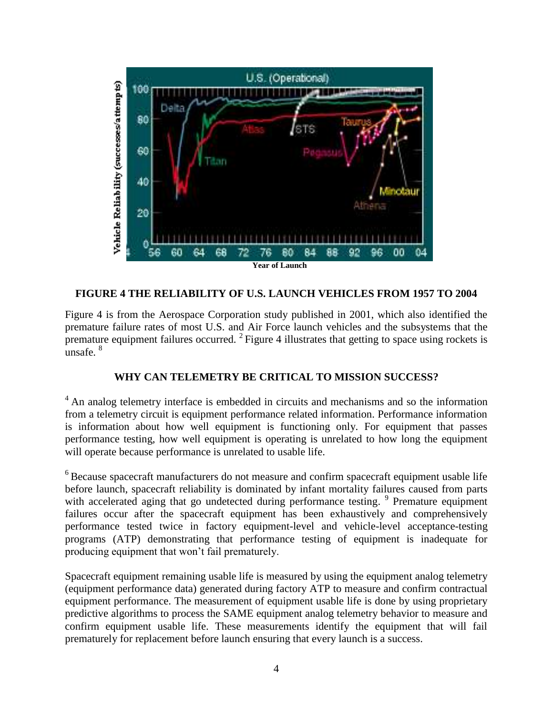

#### **FIGURE 4 THE RELIABILITY OF U.S. LAUNCH VEHICLES FROM 1957 TO 2004**

Figure 4 is from the Aerospace Corporation study published in 2001, which also identified the premature failure rates of most U.S. and Air Force launch vehicles and the subsystems that the premature equipment failures occurred.  $2$  Figure 4 illustrates that getting to space using rockets is unsafe. <sup>8</sup>

# **WHY CAN TELEMETRY BE CRITICAL TO MISSION SUCCESS?**

<sup>4</sup> An analog telemetry interface is embedded in circuits and mechanisms and so the information from a telemetry circuit is equipment performance related information. Performance information is information about how well equipment is functioning only. For equipment that passes performance testing, how well equipment is operating is unrelated to how long the equipment will operate because performance is unrelated to usable life.

<sup>6</sup> Because spacecraft manufacturers do not measure and confirm spacecraft equipment usable life before launch, spacecraft reliability is dominated by infant mortality failures caused from parts with accelerated aging that go undetected during performance testing.<sup>9</sup> Premature equipment failures occur after the spacecraft equipment has been exhaustively and comprehensively performance tested twice in factory equipment-level and vehicle-level acceptance-testing programs (ATP) demonstrating that performance testing of equipment is inadequate for producing equipment that won't fail prematurely.

Spacecraft equipment remaining usable life is measured by using the equipment analog telemetry (equipment performance data) generated during factory ATP to measure and confirm contractual equipment performance. The measurement of equipment usable life is done by using proprietary predictive algorithms to process the SAME equipment analog telemetry behavior to measure and confirm equipment usable life. These measurements identify the equipment that will fail prematurely for replacement before launch ensuring that every launch is a success.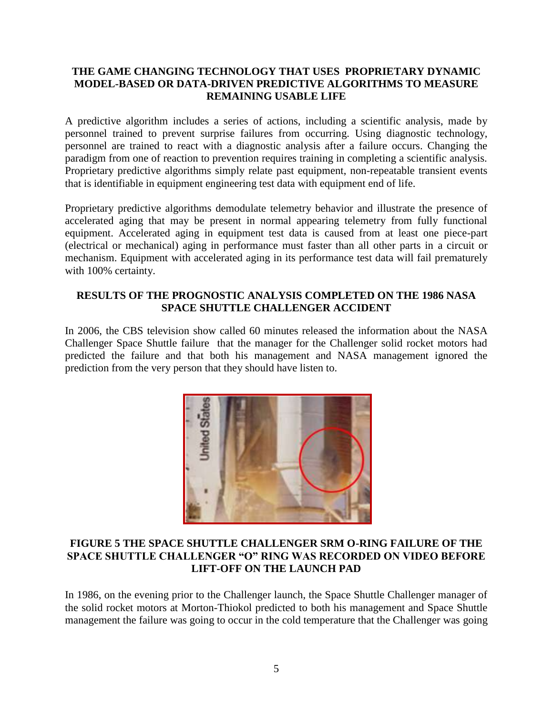# **THE GAME CHANGING TECHNOLOGY THAT USES PROPRIETARY DYNAMIC MODEL-BASED OR DATA-DRIVEN PREDICTIVE ALGORITHMS TO MEASURE REMAINING USABLE LIFE**

A predictive algorithm includes a series of actions, including a scientific analysis, made by personnel trained to prevent surprise failures from occurring. Using diagnostic technology, personnel are trained to react with a diagnostic analysis after a failure occurs. Changing the paradigm from one of reaction to prevention requires training in completing a scientific analysis. Proprietary predictive algorithms simply relate past equipment, non-repeatable transient events that is identifiable in equipment engineering test data with equipment end of life.

Proprietary predictive algorithms demodulate telemetry behavior and illustrate the presence of accelerated aging that may be present in normal appearing telemetry from fully functional equipment. Accelerated aging in equipment test data is caused from at least one piece-part (electrical or mechanical) aging in performance must faster than all other parts in a circuit or mechanism. Equipment with accelerated aging in its performance test data will fail prematurely with 100% certainty.

# **RESULTS OF THE PROGNOSTIC ANALYSIS COMPLETED ON THE 1986 NASA SPACE SHUTTLE CHALLENGER ACCIDENT**

In 2006, the CBS television show called 60 minutes released the information about the NASA Challenger Space Shuttle failure that the manager for the Challenger solid rocket motors had predicted the failure and that both his management and NASA management ignored the prediction from the very person that they should have listen to.



#### **FIGURE 5 THE SPACE SHUTTLE CHALLENGER SRM O-RING FAILURE OF THE SPACE SHUTTLE CHALLENGER "O" RING WAS RECORDED ON VIDEO BEFORE LIFT-OFF ON THE LAUNCH PAD**

In 1986, on the evening prior to the Challenger launch, the Space Shuttle Challenger manager of the solid rocket motors at Morton-Thiokol predicted to both his management and Space Shuttle management the failure was going to occur in the cold temperature that the Challenger was going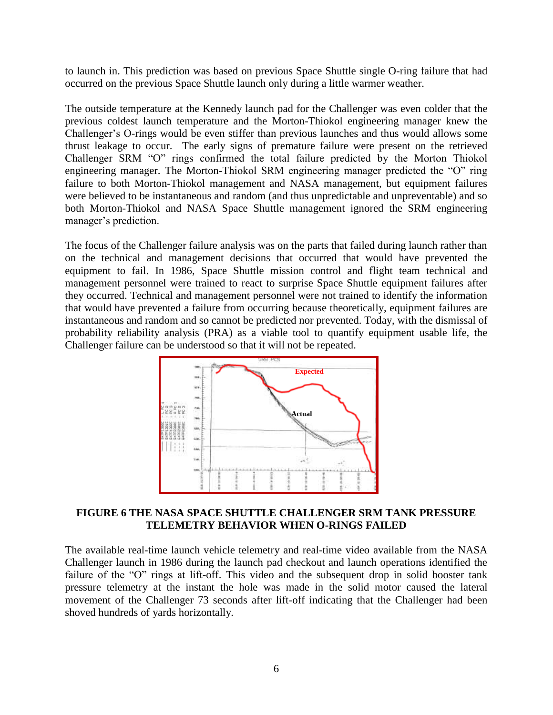to launch in. This prediction was based on previous Space Shuttle single O-ring failure that had occurred on the previous Space Shuttle launch only during a little warmer weather.

The outside temperature at the Kennedy launch pad for the Challenger was even colder that the previous coldest launch temperature and the Morton-Thiokol engineering manager knew the Challenger's O-rings would be even stiffer than previous launches and thus would allows some thrust leakage to occur. The early signs of premature failure were present on the retrieved Challenger SRM "O" rings confirmed the total failure predicted by the Morton Thiokol engineering manager. The Morton-Thiokol SRM engineering manager predicted the "O" ring failure to both Morton-Thiokol management and NASA management, but equipment failures were believed to be instantaneous and random (and thus unpredictable and unpreventable) and so both Morton-Thiokol and NASA Space Shuttle management ignored the SRM engineering manager's prediction.

The focus of the Challenger failure analysis was on the parts that failed during launch rather than on the technical and management decisions that occurred that would have prevented the equipment to fail. In 1986, Space Shuttle mission control and flight team technical and management personnel were trained to react to surprise Space Shuttle equipment failures after they occurred. Technical and management personnel were not trained to identify the information that would have prevented a failure from occurring because theoretically, equipment failures are instantaneous and random and so cannot be predicted nor prevented. Today, with the dismissal of probability reliability analysis (PRA) as a viable tool to quantify equipment usable life, the Challenger failure can be understood so that it will not be repeated.



#### **FIGURE 6 THE NASA SPACE SHUTTLE CHALLENGER SRM TANK PRESSURE TELEMETRY BEHAVIOR WHEN O-RINGS FAILED**

The available real-time launch vehicle telemetry and real-time video available from the NASA Challenger launch in 1986 during the launch pad checkout and launch operations identified the failure of the "O" rings at lift-off. This video and the subsequent drop in solid booster tank pressure telemetry at the instant the hole was made in the solid motor caused the lateral movement of the Challenger 73 seconds after lift-off indicating that the Challenger had been shoved hundreds of yards horizontally.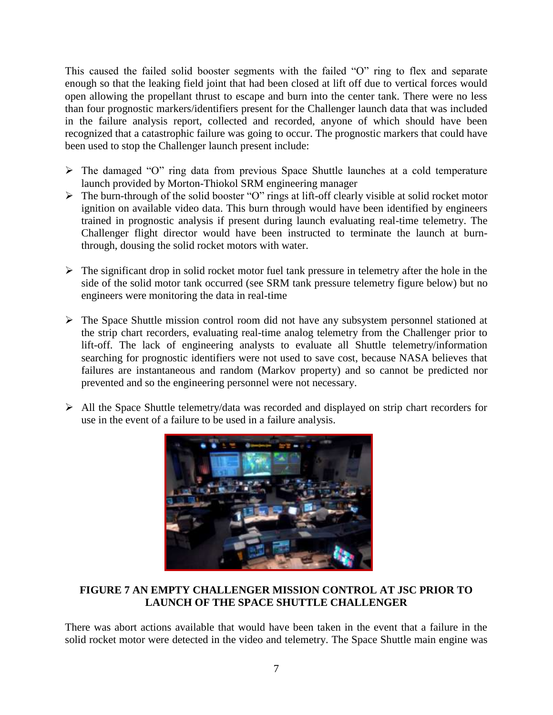This caused the failed solid booster segments with the failed "O" ring to flex and separate enough so that the leaking field joint that had been closed at lift off due to vertical forces would open allowing the propellant thrust to escape and burn into the center tank. There were no less than four prognostic markers/identifiers present for the Challenger launch data that was included in the failure analysis report, collected and recorded, anyone of which should have been recognized that a catastrophic failure was going to occur. The prognostic markers that could have been used to stop the Challenger launch present include:

- $\triangleright$  The damaged "O" ring data from previous Space Shuttle launches at a cold temperature launch provided by Morton-Thiokol SRM engineering manager
- $\triangleright$  The burn-through of the solid booster "O" rings at lift-off clearly visible at solid rocket motor ignition on available video data. This burn through would have been identified by engineers trained in prognostic analysis if present during launch evaluating real-time telemetry. The Challenger flight director would have been instructed to terminate the launch at burnthrough, dousing the solid rocket motors with water.
- $\triangleright$  The significant drop in solid rocket motor fuel tank pressure in telemetry after the hole in the side of the solid motor tank occurred (see SRM tank pressure telemetry figure below) but no engineers were monitoring the data in real-time
- The Space Shuttle mission control room did not have any subsystem personnel stationed at the strip chart recorders, evaluating real-time analog telemetry from the Challenger prior to lift-off. The lack of engineering analysts to evaluate all Shuttle telemetry/information searching for prognostic identifiers were not used to save cost, because NASA believes that failures are instantaneous and random (Markov property) and so cannot be predicted nor prevented and so the engineering personnel were not necessary.
- $\triangleright$  All the Space Shuttle telemetry/data was recorded and displayed on strip chart recorders for use in the event of a failure to be used in a failure analysis.



# **FIGURE 7 AN EMPTY CHALLENGER MISSION CONTROL AT JSC PRIOR TO LAUNCH OF THE SPACE SHUTTLE CHALLENGER**

There was abort actions available that would have been taken in the event that a failure in the solid rocket motor were detected in the video and telemetry. The Space Shuttle main engine was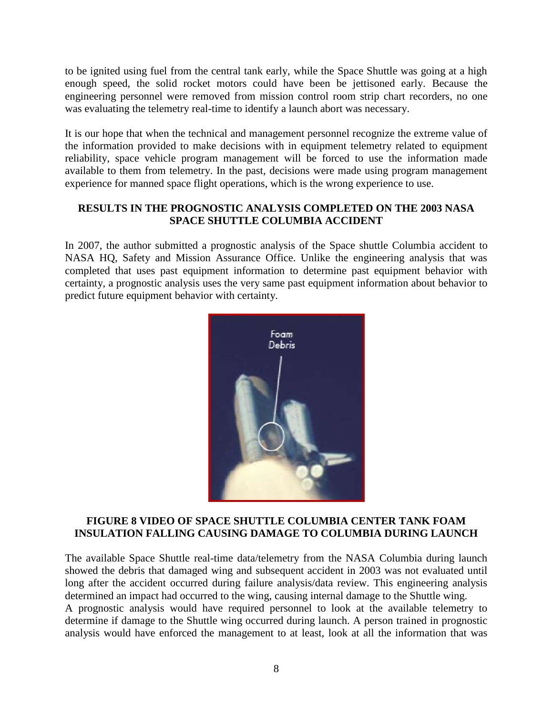to be ignited using fuel from the central tank early, while the Space Shuttle was going at a high enough speed, the solid rocket motors could have been be jettisoned early. Because the engineering personnel were removed from mission control room strip chart recorders, no one was evaluating the telemetry real-time to identify a launch abort was necessary.

It is our hope that when the technical and management personnel recognize the extreme value of the information provided to make decisions with in equipment telemetry related to equipment reliability, space vehicle program management will be forced to use the information made available to them from telemetry. In the past, decisions were made using program management experience for manned space flight operations, which is the wrong experience to use.

# **RESULTS IN THE PROGNOSTIC ANALYSIS COMPLETED ON THE 2003 NASA SPACE SHUTTLE COLUMBIA ACCIDENT**

In 2007, the author submitted a prognostic analysis of the Space shuttle Columbia accident to NASA HQ, Safety and Mission Assurance Office. Unlike the engineering analysis that was completed that uses past equipment information to determine past equipment behavior with certainty, a prognostic analysis uses the very same past equipment information about behavior to predict future equipment behavior with certainty.



#### **FIGURE 8 VIDEO OF SPACE SHUTTLE COLUMBIA CENTER TANK FOAM INSULATION FALLING CAUSING DAMAGE TO COLUMBIA DURING LAUNCH**

The available Space Shuttle real-time data/telemetry from the NASA Columbia during launch showed the debris that damaged wing and subsequent accident in 2003 was not evaluated until long after the accident occurred during failure analysis/data review. This engineering analysis determined an impact had occurred to the wing, causing internal damage to the Shuttle wing. A prognostic analysis would have required personnel to look at the available telemetry to determine if damage to the Shuttle wing occurred during launch. A person trained in prognostic analysis would have enforced the management to at least, look at all the information that was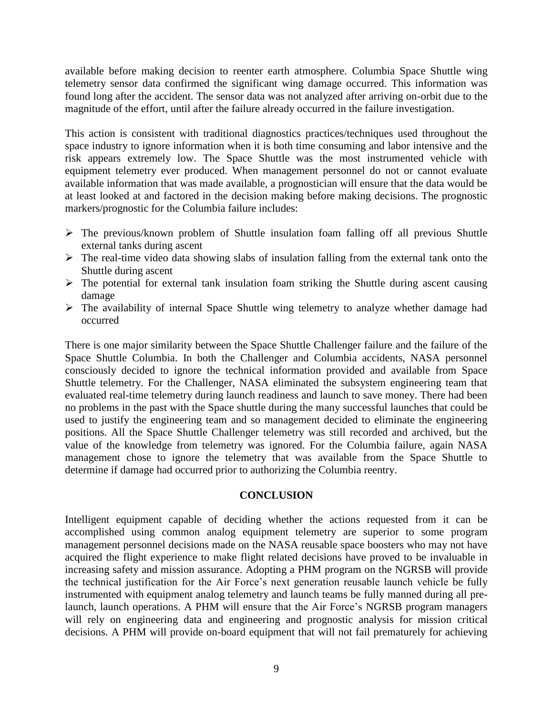available before making decision to reenter earth atmosphere. Columbia Space Shuttle wing telemetry sensor data confirmed the significant wing damage occurred. This information was found long after the accident. The sensor data was not analyzed after arriving on-orbit due to the magnitude of the effort, until after the failure already occurred in the failure investigation.

This action is consistent with traditional diagnostics practices/techniques used throughout the space industry to ignore information when it is both time consuming and labor intensive and the risk appears extremely low. The Space Shuttle was the most instrumented vehicle with equipment telemetry ever produced. When management personnel do not or cannot evaluate available information that was made available, a prognostician will ensure that the data would be at least looked at and factored in the decision making before making decisions. The prognostic markers/prognostic for the Columbia failure includes:

- $\triangleright$  The previous/known problem of Shuttle insulation foam falling off all previous Shuttle external tanks during ascent
- $\triangleright$  The real-time video data showing slabs of insulation falling from the external tank onto the Shuttle during ascent
- $\triangleright$  The potential for external tank insulation foam striking the Shuttle during ascent causing damage
- The availability of internal Space Shuttle wing telemetry to analyze whether damage had occurred

There is one major similarity between the Space Shuttle Challenger failure and the failure of the Space Shuttle Columbia. In both the Challenger and Columbia accidents, NASA personnel consciously decided to ignore the technical information provided and available from Space Shuttle telemetry. For the Challenger, NASA eliminated the subsystem engineering team that evaluated real-time telemetry during launch readiness and launch to save money. There had been no problems in the past with the Space shuttle during the many successful launches that could be used to justify the engineering team and so management decided to eliminate the engineering positions. All the Space Shuttle Challenger telemetry was still recorded and archived, but the value of the knowledge from telemetry was ignored. For the Columbia failure, again NASA management chose to ignore the telemetry that was available from the Space Shuttle to determine if damage had occurred prior to authorizing the Columbia reentry.

#### **CONCLUSION**

Intelligent equipment capable of deciding whether the actions requested from it can be accomplished using common analog equipment telemetry are superior to some program management personnel decisions made on the NASA reusable space boosters who may not have acquired the flight experience to make flight related decisions have proved to be invaluable in increasing safety and mission assurance. Adopting a PHM program on the NGRSB will provide the technical justification for the Air Force's next generation reusable launch vehicle be fully instrumented with equipment analog telemetry and launch teams be fully manned during all prelaunch, launch operations. A PHM will ensure that the Air Force's NGRSB program managers will rely on engineering data and engineering and prognostic analysis for mission critical decisions. A PHM will provide on-board equipment that will not fail prematurely for achieving